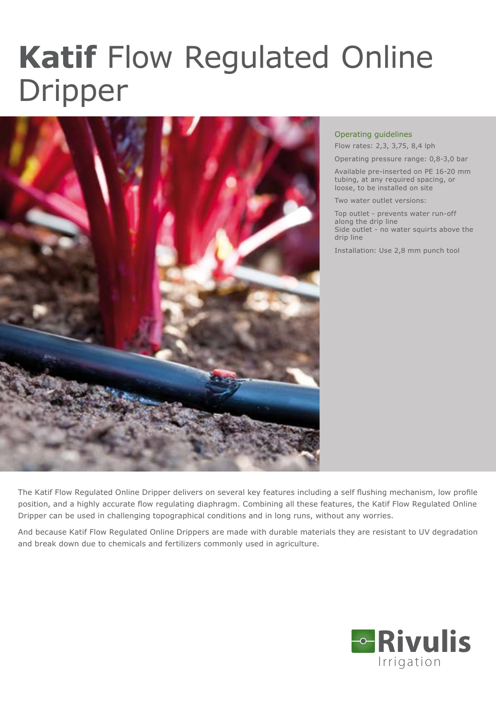## **Katif** Flow Regulated Online Dripper



## Operating guidelines

Flow rates: 2,3, 3,75, 8,4 lph

Operating pressure range: 0,8-3,0 bar

Available pre-inserted on PE 16-20 mm tubing, at any required spacing, or loose, to be installed on site

Two water outlet versions:

Top outlet - prevents water run-off along the drip line Side outlet - no water squirts above the drip line

Installation: Use 2,8 mm punch tool

The Katif Flow Regulated Online Dripper delivers on several key features including a self flushing mechanism, low profile position, and a highly accurate flow regulating diaphragm. Combining all these features, the Katif Flow Regulated Online Dripper can be used in challenging topographical conditions and in long runs, without any worries.

And because Katif Flow Regulated Online Drippers are made with durable materials they are resistant to UV degradation and break down due to chemicals and fertilizers commonly used in agriculture.